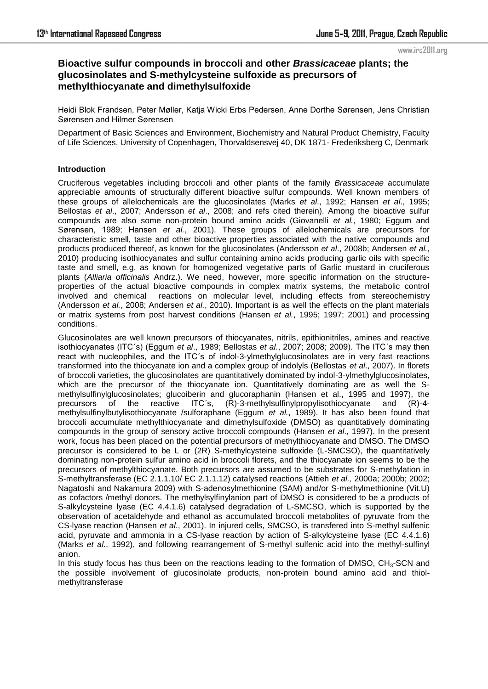#### www.irc2011.org

# **Bioactive sulfur compounds in broccoli and other** *Brassicaceae* **plants; the glucosinolates and S-methylcysteine sulfoxide as precursors of methylthiocyanate and dimethylsulfoxide**

Heidi Blok Frandsen, Peter Møller, Katja Wicki Erbs Pedersen, Anne Dorthe Sørensen, Jens Christian Sørensen and Hilmer Sørensen

Department of Basic Sciences and Environment, Biochemistry and Natural Product Chemistry, Faculty of Life Sciences, University of Copenhagen, Thorvaldsensvej 40, DK 1871- Frederiksberg C, Denmark

# **Introduction**

Cruciferous vegetables including broccoli and other plants of the family *Brassicaceae* accumulate appreciable amounts of structurally different bioactive sulfur compounds. Well known members of these groups of allelochemicals are the glucosinolates (Marks *et al*., 1992; Hansen *et al*., 1995; Bellostas *et al*., 2007; Andersson *et al*., 2008; and refs cited therein). Among the bioactive sulfur compounds are also some non-protein bound amino acids (Giovanelli *et al.*, 1980; Eggum and Sørensen, 1989; Hansen *et al.*, 2001). These groups of allelochemicals are precursors for characteristic smell, taste and other bioactive properties associated with the native compounds and products produced thereof, as known for the glucosinolates (Andersson *et al*., 2008b; Andersen *et al.*, 2010) producing isothiocyanates and sulfur containing amino acids producing garlic oils with specific taste and smell, e.g. as known for homogenized vegetative parts of Garlic mustard in cruciferous plants (*Alliaria officinalis* Andrz.). We need, however, more specific information on the structureproperties of the actual bioactive compounds in complex matrix systems, the metabolic control involved and chemical reactions on molecular level, including effects from stereochemistry (Andersson *et al.*, 2008; Andersen *et al.*, 2010). Important is as well the effects on the plant materials or matrix systems from post harvest conditions (Hansen *et al.*, 1995; 1997; 2001) and processing conditions.

Glucosinolates are well known precursors of thiocyanates, nitrils, epithionitriles, amines and reactive isothiocyanates (ITC´s) (Eggum *et al*., 1989; Bellostas *et al*., 2007; 2008; 2009). The ITC´s may then react with nucleophiles, and the ITC´s of indol-3-ylmethylglucosinolates are in very fast reactions transformed into the thiocyanate ion and a complex group of indolyls (Bellostas *et al*., 2007). In florets of broccoli varieties, the glucosinolates are quantitatively dominated by indol-3-ylmethylglucosinolates, which are the precursor of the thiocyanate ion. Quantitatively dominating are as well the Smethylsulfinylglucosinolates; glucoiberin and glucoraphanin (Hansen et al., 1995 and 1997), the precursors of the reactive ITC´s, (R)-3-methylsulfinylpropylisothiocyanate and (R)-4 methylsulfinylbutylisothiocyanate /sulforaphane (Eggum *et al.*, 1989). It has also been found that broccoli accumulate methylthiocyanate and dimethylsulfoxide (DMSO) as quantitatively dominating compounds in the group of sensory active broccoli compounds (Hansen *et al*., 1997). In the present work, focus has been placed on the potential precursors of methylthiocyanate and DMSO. The DMSO precursor is considered to be L or (2R) S-methylcysteine sulfoxide (L-SMCSO), the quantitatively dominating non-protein sulfur amino acid in broccoli florets, and the thiocyanate ion seems to be the precursors of methylthiocyanate. Both precursors are assumed to be substrates for S-methylation in S-methyltransferase (EC 2.1.1.10/ EC 2.1.1.12) catalysed reactions (Attieh *et al.,* 2000a; 2000b; 2002; Nagatoshi and Nakamura 2009) with S-adenosylmethionine (SAM) and/or S-methylmethionine (Vit.U) as cofactors /methyl donors. The methylsylfinylanion part of DMSO is considered to be a products of S-alkylcysteine lyase (EC 4.4.1.6) catalysed degradation of L-SMCSO, which is supported by the observation of acetaldehyde and ethanol as accumulated broccoli metabolites of pyruvate from the CS-lyase reaction (Hansen *et al*., 2001). In injured cells, SMCSO, is transfered into S-methyl sulfenic acid, pyruvate and ammonia in a CS-lyase reaction by action of S-alkylcysteine lyase (EC 4.4.1.6) (Marks *et al*., 1992), and following rearrangement of S-methyl sulfenic acid into the methyl-sulfinyl anion.

In this study focus has thus been on the reactions leading to the formation of DMSO,  $CH<sub>3</sub>-SCN$  and the possible involvement of glucosinolate products, non-protein bound amino acid and thiolmethyltransferase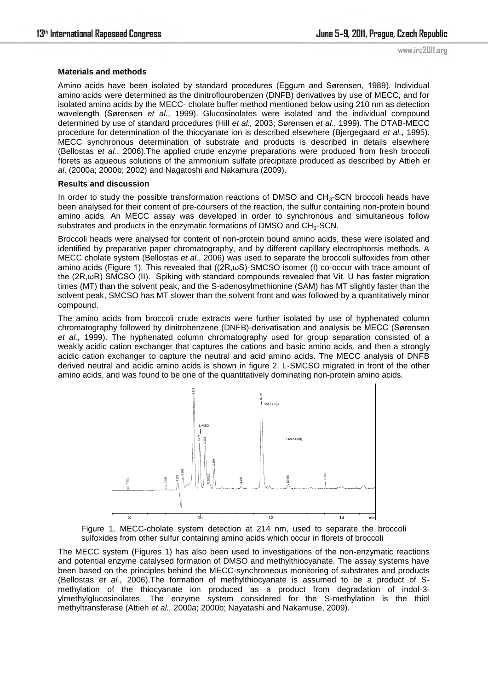### **Materials and methods**

Amino acids have been isolated by standard procedures (Eggum and Sørensen, 1989). Individual amino acids were determined as the dinitroflourobenzen (DNFB) derivatives by use of MECC, and for isolated amino acids by the MECC- cholate buffer method mentioned below using 210 nm as detection wavelength (Sørensen *et al.*, 1999). Glucosinolates were isolated and the individual compound determined by use of standard procedures (Hill *et al.,* 2003; Sørensen *et al.*, 1999). The DTAB-MECC procedure for determination of the thiocyanate ion is described elsewhere (Bjergegaard *et al.*, 1995). MECC synchronous determination of substrate and products is described in details elsewhere (Bellostas *et al.*, 2006).The applied crude enzyme preparations were produced from fresh broccoli florets as aqueous solutions of the ammonium sulfate precipitate produced as described by Attieh *et al*. (2000a; 2000b; 2002) and Nagatoshi and Nakamura (2009).

### **Results and discussion**

In order to study the possible transformation reactions of DMSO and CH<sub>3</sub>-SCN broccoli heads have been analysed for their content of pre-coursers of the reaction, the sulfur containing non-protein bound amino acids. An MECC assay was developed in order to synchronous and simultaneous follow substrates and products in the enzymatic formations of DMSO and  $CH<sub>3</sub>$ -SCN.

Broccoli heads were analysed for content of non-protein bound amino acids, these were isolated and identified by preparative paper chromatography, and by different capillary electrophorsis methods. A MECC cholate system (Bellostas *et al.*, 2006) was used to separate the broccoli sulfoxides from other amino acids (Figure 1). This revealed that ((2R,ωS)-SMCSO isomer (I) co-occur with trace amount of the (2R,ωR) SMCSO (II). Spiking with standard compounds revealed that Vit. U has faster migration times (MT) than the solvent peak, and the S-adenosylmethionine (SAM) has MT slightly faster than the solvent peak, SMCSO has MT slower than the solvent front and was followed by a quantitatively minor compound.

The amino acids from broccoli crude extracts were further isolated by use of hyphenated column chromatography followed by dinitrobenzene (DNFB)-derivatisation and analysis be MECC (Sørensen *et al.,* 1999). The hyphenated column chromatography used for group separation consisted of a weakly acidic cation exchanger that captures the cations and basic amino acids, and then a strongly acidic cation exchanger to capture the neutral and acid amino acids. The MECC analysis of DNFB derived neutral and acidic amino acids is shown in figure 2. L-SMCSO migrated in front of the other amino acids, and was found to be one of the quantitatively dominating non-protein amino acids.



Figure 1. MECC-cholate system detection at 214 nm, used to separate the broccoli sulfoxides from other sulfur containing amino acids which occur in florets of broccoli

methylation of the thiocyanate ion produced as a product from degradation of indol-3- 9.962 10.118 methyltransferase (Attieh *et al.,* 2000a; 2000b; Nayatashi and Nakamuse, 2009). The MECC system (Figures 1) has also been used to investigations of the non-enzymatic reactions and potential enzyme catalysed formation of DMSO and methylthiocyanate. The assay systems have been based on the principles behind the MECC-synchroneous monitoring of substrates and products (Bellostas *et al.*, 2006).The formation of methylthiocyanate is assumed to be a product of Sylmethylglucosinolates. The enzyme system considered for the S-methylation is the thiol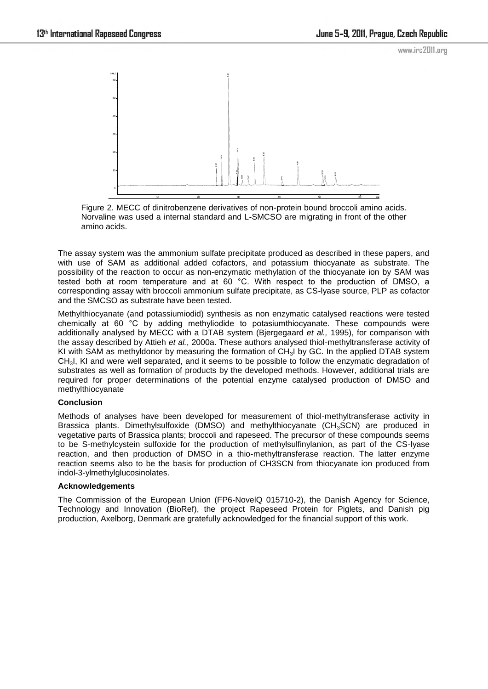

Figure 2. MECC of dinitrobenzene derivatives of non-protein bound broccoli amino acids. Norvaline was used a internal standard and L-SMCSO are migrating in front of the other amino acids.

The assay system was the ammonium sulfate precipitate produced as described in these papers, and with use of SAM as additional added cofactors, and potassium thiocyanate as substrate. The possibility of the reaction to occur as non-enzymatic methylation of the thiocyanate ion by SAM was tested both at room temperature and at 60 °C. With respect to the production of DMSO, a corresponding assay with broccoli ammonium sulfate precipitate, as CS-lyase source, PLP as cofactor and the SMCSO as substrate have been tested.

Methylthiocyanate (and potassiumiodid) synthesis as non enzymatic catalysed reactions were tested chemically at 60 °C by adding methyliodide to potasiumthiocyanate. These compounds were additionally analysed by MECC with a DTAB system (Bjergegaard *et al.,* 1995), for comparison with the assay described by Attieh *et al.*, 2000a. These authors analysed thiol-methyltransferase activity of KI with SAM as methyldonor by measuring the formation of CH3I by GC. In the applied DTAB system CH3I, KI and were well separated, and it seems to be possible to follow the enzymatic degradation of substrates as well as formation of products by the developed methods. However, additional trials are required for proper determinations of the potential enzyme catalysed production of DMSO and methylthiocyanate

# **Conclusion**

Methods of analyses have been developed for measurement of thiol-methyltransferase activity in Brassica plants. Dimethylsulfoxide (DMSO) and methylthiocyanate (CH<sub>3</sub>SCN) are produced in vegetative parts of Brassica plants; broccoli and rapeseed. The precursor of these compounds seems to be S-methylcystein sulfoxide for the production of methylsulfinylanion, as part of the CS-lyase reaction, and then production of DMSO in a thio-methyltransferase reaction. The latter enzyme reaction seems also to be the basis for production of CH3SCN from thiocyanate ion produced from indol-3-ylmethylglucosinolates.

# **Acknowledgements**

The Commission of the European Union (FP6-NovelQ 015710-2), the Danish Agency for Science, Technology and Innovation (BioRef), the project Rapeseed Protein for Piglets, and Danish pig production, Axelborg, Denmark are gratefully acknowledged for the financial support of this work.